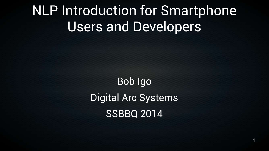## NLP Introduction for Smartphone Users and Developers

Bob Igo Digital Arc Systems SSBBQ 2014

1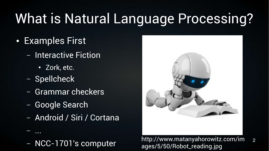# What is Natural Language Processing?

- Examples First
	- Interactive Fiction
		- Zork, etc.
	- Spellcheck

– ...

- Grammar checkers
- Google Search
- Android / Siri / Cortana



2 http://www.matanyahorowitz.com/im<br>Alther http://www.matanyahorowitz.com/im ages/5/50/Robot\_reading.jpg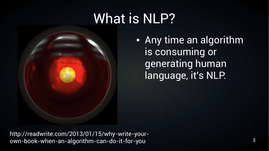## What is NLP?

• Any time an algorithm is consuming or generating human language, it's NLP.

http://readwrite.com/2013/01/15/why-write-yourown-book-when-an-algorithm-can-do-it-for-you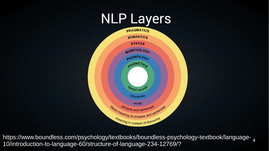## NLP Layers



https://www.boundless.com/psychology/textbooks/boundless-psychology-textbook/language-10/introduction-to-language-60/structure-of-language-234-12769/?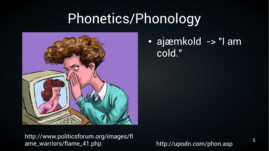## Phonetics/Phonology



#### • ajæmkold -> "I am cold."

http://www.politicsforum.org/images/fl ame\_warriors/flame\_41.php

http://upodn.com/phon.asp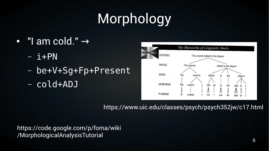# Morphology

- "I am cold."  $\rightarrow$ 
	- $i+PN$
	- be+V+Sg+Fp+Present
	- cold+ADJ



https://www.uic.edu/classes/psych/psych352jw/c17.html

https://code.google.com/p/foma/wiki /MorphologicalAnalysisTutorial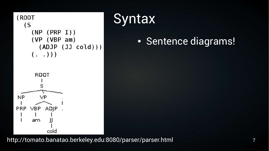

#### **Syntax**

#### • Sentence diagrams!

http://tomato.banatao.berkeley.edu:8080/parser/parser.html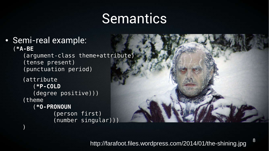## Semantics

• Semi-real example: (**\*A-BE** (argument-class theme+attribute)

)

(tense present) (punctuation period)

```
(attribute
   (*P-COLD
  (degree positive)))
(theme
   (*O-PRONOUN
          (person first)
          (number singular)))
```
8 http://farafoot.files.wordpress.com/2014/01/the-shining.jpg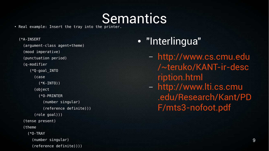# $\blacksquare$  . Real example: Insert the tray into the printer.

(\*A-INSERT (argument-class agent+theme) (mood imperative) (punctuation period) (q-modifier (\*Q-goal\_INTO (case (\*K-INTO)) (object (\*O-PRINTER (number singular) (reference definite))) (role goal))) (tense present) (theme (\*O-TRAY (number singular) (reference definite))))

#### • "Interlingua"

– [http://www.cs.cmu.edu](http://www.cs.cmu.edu/~teruko/KANT-ir-description.html) [/~teruko/KANT-ir-desc](http://www.cs.cmu.edu/~teruko/KANT-ir-description.html) [ription.html](http://www.cs.cmu.edu/~teruko/KANT-ir-description.html) – [http://www.lti.cs.cmu](http://www.lti.cs.cmu.edu/Research/Kant/PDF/mts3-nofoot.pdf) [.edu/Research/Kant/PD](http://www.lti.cs.cmu.edu/Research/Kant/PDF/mts3-nofoot.pdf) [F/mts3-nofoot.pdf](http://www.lti.cs.cmu.edu/Research/Kant/PDF/mts3-nofoot.pdf)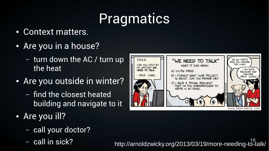# **Pragmatics**

- Context matters.
- Are you in a house?
	- turn down the AC / turn up the heat
- Are you outside in winter?
	- find the closest heated building and navigate to it
- Are you ill?
	- call your doctor?
	-

10 – call in sick? http://arnoldzwicky.org/2013/03/19/more-needing-to-talk/



WWW.PHDCOMICS.COM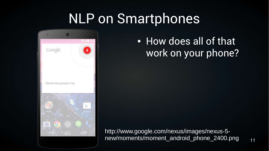## NLP on Smartphones



### • How does all of that work on your phone?

http://www.google.com/nexus/images/nexus-5 new/moments/moment\_android\_phone\_2400.png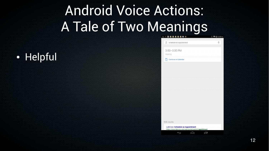# Android Voice Actions: A Tale of Two Meanings

#### ● Helpful

| g schedule an appointment                                                                  | $\mathbb{U}$ |
|--------------------------------------------------------------------------------------------|--------------|
|                                                                                            |              |
| 3:00-3:30 PM                                                                               |              |
| Meeting                                                                                    |              |
| <b>Continue in Calendar</b><br>Ö                                                           |              |
|                                                                                            |              |
|                                                                                            |              |
|                                                                                            |              |
|                                                                                            |              |
|                                                                                            |              |
|                                                                                            |              |
|                                                                                            |              |
|                                                                                            |              |
|                                                                                            |              |
|                                                                                            |              |
|                                                                                            |              |
|                                                                                            |              |
| Web results                                                                                |              |
| LabCorp: Schedule an Appointment<br>https://www.labcorp.com/wps/portal/patient/appointment |              |
| $\overline{\phantom{0}}$<br>一                                                              |              |
|                                                                                            |              |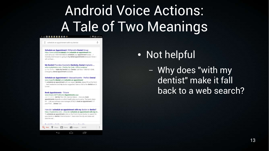# Android Voice Actions: A Tale of Two Meanings

**ANNE BEET CO** 

**● 令 @ 2:47 PM** 

8 schedule an appointment with my dentist

Schedule an Appointment | Willamette Dental Group https://www.willamettedental.com/schedule-an-appointment.htm Just call us at 1-855-433-6825 to schedule your appointment today! ... I honestly look forward to going to my dental appointments because I know I will not have.

My Dentist Provides Cosmetic Dentistry, Dental Implants ... www.mydentistinc.com > Find by Zip Code > Office Locations by Pat Steffen - Make My Dentist your Dentist, Call Now 1-866-921-5348. Emergency dental appointment available

Schedule an Appointment in Massachusetts - Perfect Dental www.myperfectdental.com/schedule-an-appointment/

To schedule an appointment with our expert dentists, please fill out the form ... bad headaches and my doctor suggested I take a visit to the dentist and it turned

#### **Book Appointments - Tricare** www.tricare.mil/FindDoctor/Appointments.aspx

 $\overline{\phantom{0}}$ 

Jun 17, 2014 - Get My Plan Info. Service Status ... How you book appointments depends on which health plan you're using. The basic steps for ... Call your primary care manager (PCM) to book an appointment.\*; If vour PCM ... Dental Care

How do I schedule an appointment with my doctor or dentist? https://mydoctime.com/.../How-do-I-schedule-an-appointment-with-my-do. To schedule an appointment, click on the Find A Doctor button to search for your doctor or dentist. Find-A-Doctor-1. Next enter the city and state and click the red.

Ē

Bookel Blood EAGL - Accounts Foundation Bookels Q Web **Q** Maps **T** News **To** Images MORE • Not helpful

– Why does "with my dentist" make it fall back to a web search?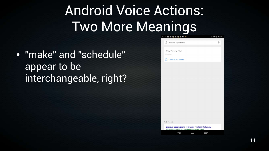# Android Voice Actions: Two More Meanings

● "make" and "schedule" appear to be interchangeable, right?

| ☆図■■■■■■☆                   | <b>8 令 @ 2:33 PI</b> |
|-----------------------------|----------------------|
| make an appointment         | €                    |
| $3:00 - 3:30$ PM<br>Meeting |                      |
| <b>Continue in Calendar</b> |                      |
|                             |                      |

Web results

⊖

ſU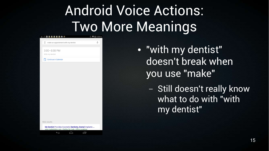# Android Voice Actions: Two More Meanings

| - 2 回 日 日 日 日 日 白 か                      |  |
|------------------------------------------|--|
| 8<br>make an appointment with my dentist |  |
| $3:00 - 3:30$ PM<br>With my dentist      |  |
| <b>Continue in Calendar</b>              |  |
|                                          |  |
|                                          |  |

**◆ @ 2:33 PM** 

Web results

⊖

My Dentist Provides Cosmetic Dentistry, Dental Implants www.mydentisting.com > Find by Zin Code > Office Location

Ū

● "with my dentist" doesn't break when you use "make"

> – Still doesn't really know what to do with "with my dentist"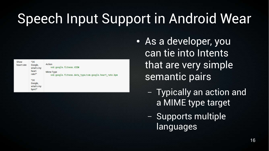# Speech Input Support in Android Wear

| Show<br>"OK<br>Google,<br>heart rate<br>what's my<br>heart<br>rate?"<br>"OK<br>Google,<br>what's my<br>bpm?" | Action<br>vnd.google.fitness.VIEW<br>Mime Type<br>vnd.google.fitness.data type/com.google.heart rate.bpm |
|--------------------------------------------------------------------------------------------------------------|----------------------------------------------------------------------------------------------------------|
|--------------------------------------------------------------------------------------------------------------|----------------------------------------------------------------------------------------------------------|

- As a developer, you can tie into Intents that are very simple semantic pairs
	- Typically an action and a MIME type target
	- Supports multiple languages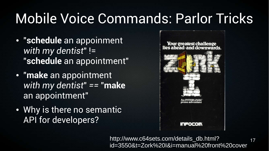# Mobile Voice Commands: Parlor Tricks

- "**schedule** an appoinment *with my dentist*" != "**schedule** an appointment"
- "**make** an appointment *with my dentist*" *==* "**make** an appointment"
- Why is there no semantic API for developers?



17 http://www.c64sets.com/details\_db.html? id=3550&t=Zork%20I&i=manual%20front%20cover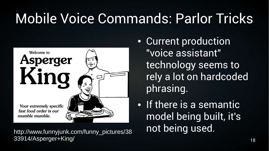# Mobile Voice Commands: Parlor Tricks



33914/Asperger+King/

• Current production "voice assistant" technology seems to rely a lot on hardcoded phrasing.

• If there is a semantic model being built, it's not being used. http://www.funnyjunk.com/funny\_pictures/38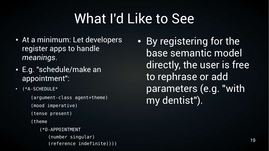## What I'd Like to See

- At a minimum: Let developers register apps to handle *meanings*.
- E.g. "schedule/make an appointment":
- $\cdot$  (\*A-SCHEDULE\*

(argument-class agent+theme) (mood imperative) (tense present) (theme (\*O-APPOINTMENT

(number singular) (reference indefinite)))) • By registering for the base semantic model directly, the user is free to rephrase or add parameters (e.g. "with my dentist").